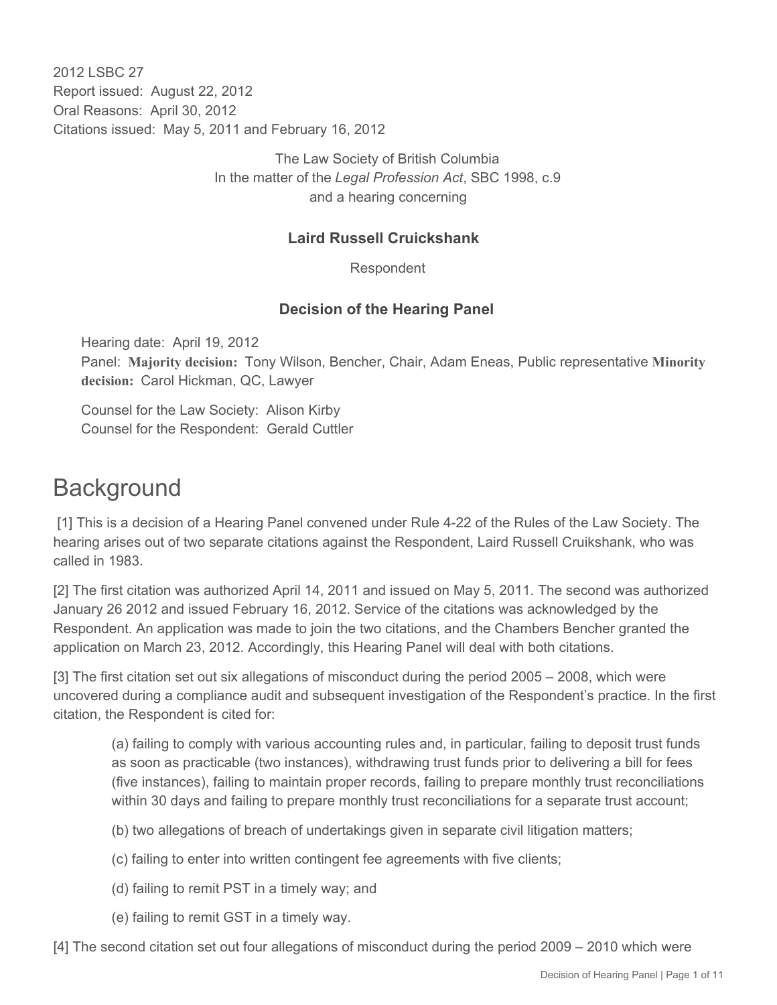2012 LSBC 27 Report issued: August 22, 2012 Oral Reasons: April 30, 2012 Citations issued: May 5, 2011 and February 16, 2012

> The Law Society of British Columbia In the matter of the *Legal Profession Act*, SBC 1998, c.9 and a hearing concerning

### **Laird Russell Cruickshank**

Respondent

#### **Decision of the Hearing Panel**

Hearing date: April 19, 2012 Panel: **Majority decision:** Tony Wilson, Bencher, Chair, Adam Eneas, Public representative **Minority decision:** Carol Hickman, QC, Lawyer

Counsel for the Law Society: Alison Kirby Counsel for the Respondent: Gerald Cuttler

# **Background**

 [1] This is a decision of a Hearing Panel convened under Rule 4-22 of the Rules of the Law Society. The hearing arises out of two separate citations against the Respondent, Laird Russell Cruikshank, who was called in 1983.

[2] The first citation was authorized April 14, 2011 and issued on May 5, 2011. The second was authorized January 26 2012 and issued February 16, 2012. Service of the citations was acknowledged by the Respondent. An application was made to join the two citations, and the Chambers Bencher granted the application on March 23, 2012. Accordingly, this Hearing Panel will deal with both citations.

[3] The first citation set out six allegations of misconduct during the period 2005 – 2008, which were uncovered during a compliance audit and subsequent investigation of the Respondent's practice. In the first citation, the Respondent is cited for:

(a) failing to comply with various accounting rules and, in particular, failing to deposit trust funds as soon as practicable (two instances), withdrawing trust funds prior to delivering a bill for fees (five instances), failing to maintain proper records, failing to prepare monthly trust reconciliations within 30 days and failing to prepare monthly trust reconciliations for a separate trust account;

- (b) two allegations of breach of undertakings given in separate civil litigation matters;
- (c) failing to enter into written contingent fee agreements with five clients;
- (d) failing to remit PST in a timely way; and
- (e) failing to remit GST in a timely way.

[4] The second citation set out four allegations of misconduct during the period 2009 – 2010 which were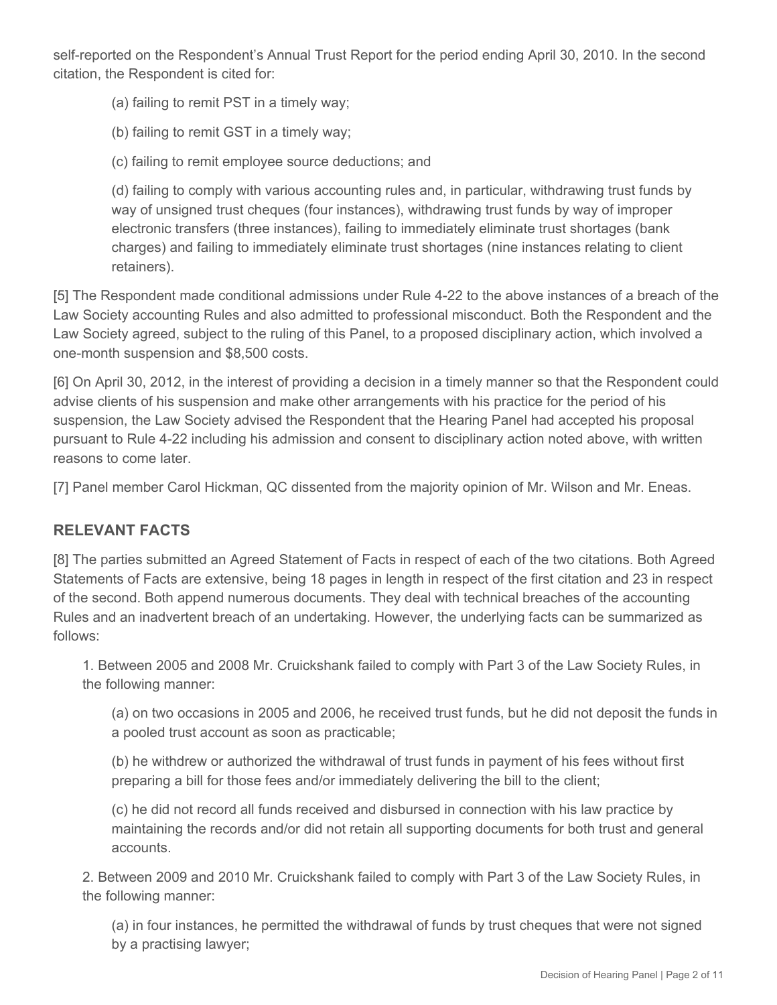self-reported on the Respondent's Annual Trust Report for the period ending April 30, 2010. In the second citation, the Respondent is cited for:

- (a) failing to remit PST in a timely way;
- (b) failing to remit GST in a timely way;
- (c) failing to remit employee source deductions; and

(d) failing to comply with various accounting rules and, in particular, withdrawing trust funds by way of unsigned trust cheques (four instances), withdrawing trust funds by way of improper electronic transfers (three instances), failing to immediately eliminate trust shortages (bank charges) and failing to immediately eliminate trust shortages (nine instances relating to client retainers).

[5] The Respondent made conditional admissions under Rule 4-22 to the above instances of a breach of the Law Society accounting Rules and also admitted to professional misconduct. Both the Respondent and the Law Society agreed, subject to the ruling of this Panel, to a proposed disciplinary action, which involved a one-month suspension and \$8,500 costs.

[6] On April 30, 2012, in the interest of providing a decision in a timely manner so that the Respondent could advise clients of his suspension and make other arrangements with his practice for the period of his suspension, the Law Society advised the Respondent that the Hearing Panel had accepted his proposal pursuant to Rule 4-22 including his admission and consent to disciplinary action noted above, with written reasons to come later.

[7] Panel member Carol Hickman, QC dissented from the majority opinion of Mr. Wilson and Mr. Eneas.

# **RELEVANT FACTS**

[8] The parties submitted an Agreed Statement of Facts in respect of each of the two citations. Both Agreed Statements of Facts are extensive, being 18 pages in length in respect of the first citation and 23 in respect of the second. Both append numerous documents. They deal with technical breaches of the accounting Rules and an inadvertent breach of an undertaking. However, the underlying facts can be summarized as follows:

1. Between 2005 and 2008 Mr. Cruickshank failed to comply with Part 3 of the Law Society Rules, in the following manner:

(a) on two occasions in 2005 and 2006, he received trust funds, but he did not deposit the funds in a pooled trust account as soon as practicable;

(b) he withdrew or authorized the withdrawal of trust funds in payment of his fees without first preparing a bill for those fees and/or immediately delivering the bill to the client;

(c) he did not record all funds received and disbursed in connection with his law practice by maintaining the records and/or did not retain all supporting documents for both trust and general accounts.

2. Between 2009 and 2010 Mr. Cruickshank failed to comply with Part 3 of the Law Society Rules, in the following manner:

(a) in four instances, he permitted the withdrawal of funds by trust cheques that were not signed by a practising lawyer;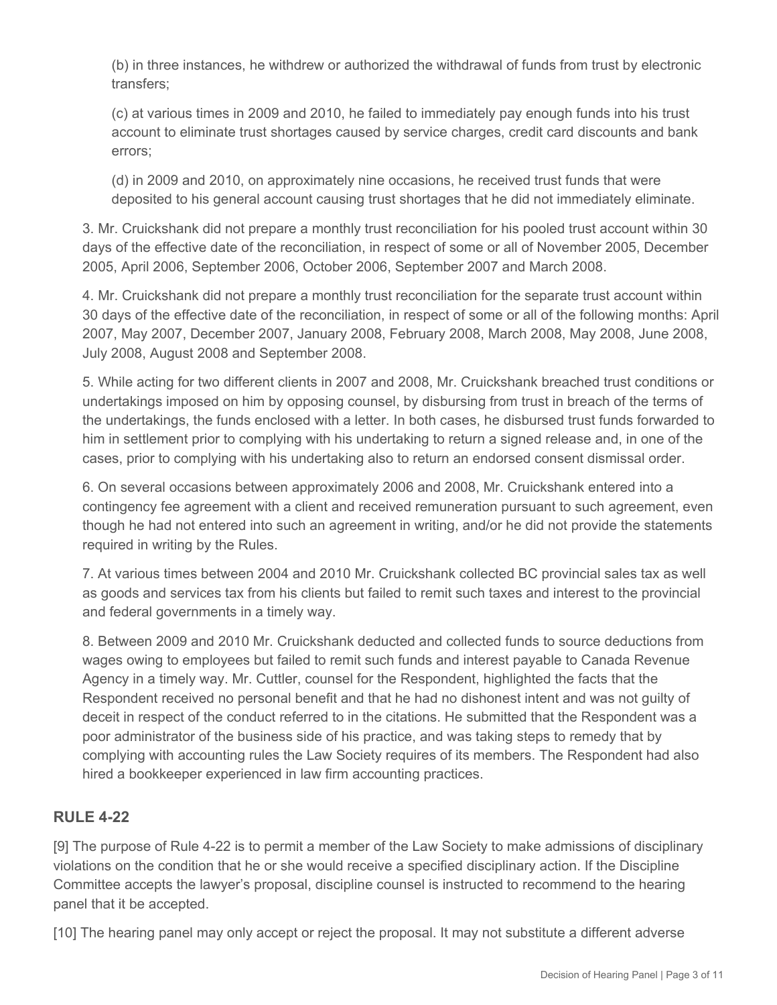(b) in three instances, he withdrew or authorized the withdrawal of funds from trust by electronic transfers;

(c) at various times in 2009 and 2010, he failed to immediately pay enough funds into his trust account to eliminate trust shortages caused by service charges, credit card discounts and bank errors;

(d) in 2009 and 2010, on approximately nine occasions, he received trust funds that were deposited to his general account causing trust shortages that he did not immediately eliminate.

3. Mr. Cruickshank did not prepare a monthly trust reconciliation for his pooled trust account within 30 days of the effective date of the reconciliation, in respect of some or all of November 2005, December 2005, April 2006, September 2006, October 2006, September 2007 and March 2008.

4. Mr. Cruickshank did not prepare a monthly trust reconciliation for the separate trust account within 30 days of the effective date of the reconciliation, in respect of some or all of the following months: April 2007, May 2007, December 2007, January 2008, February 2008, March 2008, May 2008, June 2008, July 2008, August 2008 and September 2008.

5. While acting for two different clients in 2007 and 2008, Mr. Cruickshank breached trust conditions or undertakings imposed on him by opposing counsel, by disbursing from trust in breach of the terms of the undertakings, the funds enclosed with a letter. In both cases, he disbursed trust funds forwarded to him in settlement prior to complying with his undertaking to return a signed release and, in one of the cases, prior to complying with his undertaking also to return an endorsed consent dismissal order.

6. On several occasions between approximately 2006 and 2008, Mr. Cruickshank entered into a contingency fee agreement with a client and received remuneration pursuant to such agreement, even though he had not entered into such an agreement in writing, and/or he did not provide the statements required in writing by the Rules.

7. At various times between 2004 and 2010 Mr. Cruickshank collected BC provincial sales tax as well as goods and services tax from his clients but failed to remit such taxes and interest to the provincial and federal governments in a timely way.

8. Between 2009 and 2010 Mr. Cruickshank deducted and collected funds to source deductions from wages owing to employees but failed to remit such funds and interest payable to Canada Revenue Agency in a timely way. Mr. Cuttler, counsel for the Respondent, highlighted the facts that the Respondent received no personal benefit and that he had no dishonest intent and was not guilty of deceit in respect of the conduct referred to in the citations. He submitted that the Respondent was a poor administrator of the business side of his practice, and was taking steps to remedy that by complying with accounting rules the Law Society requires of its members. The Respondent had also hired a bookkeeper experienced in law firm accounting practices.

# **RULE 4-22**

[9] The purpose of Rule 4-22 is to permit a member of the Law Society to make admissions of disciplinary violations on the condition that he or she would receive a specified disciplinary action. If the Discipline Committee accepts the lawyer's proposal, discipline counsel is instructed to recommend to the hearing panel that it be accepted.

[10] The hearing panel may only accept or reject the proposal. It may not substitute a different adverse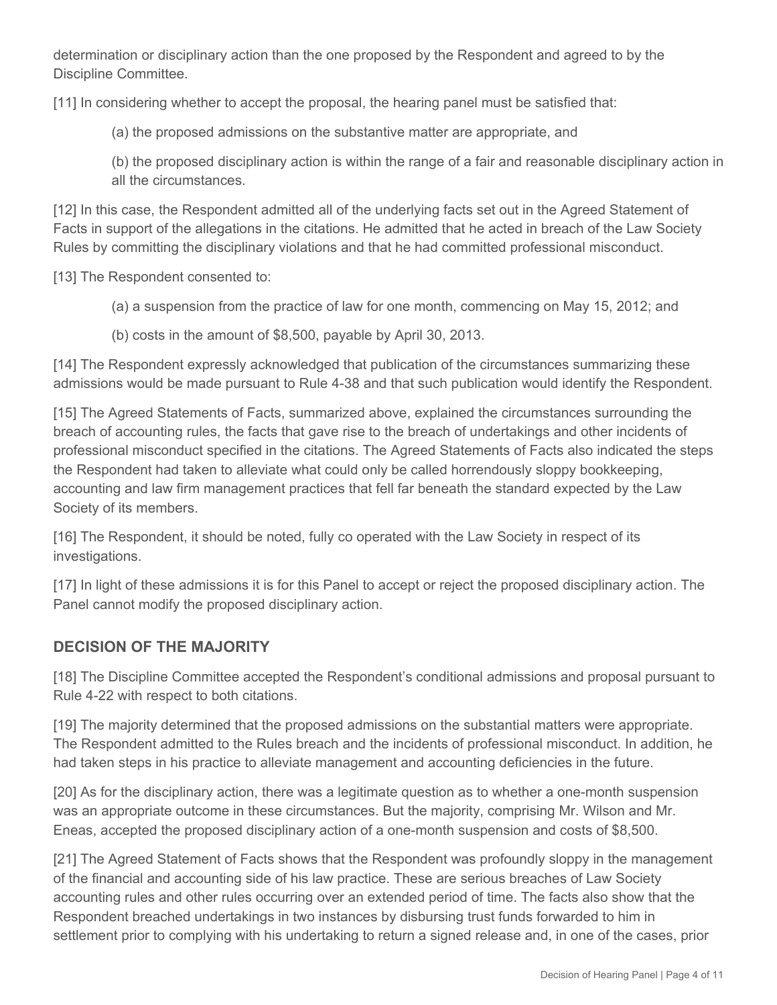determination or disciplinary action than the one proposed by the Respondent and agreed to by the Discipline Committee.

[11] In considering whether to accept the proposal, the hearing panel must be satisfied that:

(a) the proposed admissions on the substantive matter are appropriate, and

(b) the proposed disciplinary action is within the range of a fair and reasonable disciplinary action in all the circumstances.

[12] In this case, the Respondent admitted all of the underlying facts set out in the Agreed Statement of Facts in support of the allegations in the citations. He admitted that he acted in breach of the Law Society Rules by committing the disciplinary violations and that he had committed professional misconduct.

[13] The Respondent consented to:

- (a) a suspension from the practice of law for one month, commencing on May 15, 2012; and
- (b) costs in the amount of \$8,500, payable by April 30, 2013.

[14] The Respondent expressly acknowledged that publication of the circumstances summarizing these admissions would be made pursuant to Rule 4-38 and that such publication would identify the Respondent.

[15] The Agreed Statements of Facts, summarized above, explained the circumstances surrounding the breach of accounting rules, the facts that gave rise to the breach of undertakings and other incidents of professional misconduct specified in the citations. The Agreed Statements of Facts also indicated the steps the Respondent had taken to alleviate what could only be called horrendously sloppy bookkeeping, accounting and law firm management practices that fell far beneath the standard expected by the Law Society of its members.

[16] The Respondent, it should be noted, fully co operated with the Law Society in respect of its investigations.

[17] In light of these admissions it is for this Panel to accept or reject the proposed disciplinary action. The Panel cannot modify the proposed disciplinary action.

# **DECISION OF THE MAJORITY**

[18] The Discipline Committee accepted the Respondent's conditional admissions and proposal pursuant to Rule 4-22 with respect to both citations.

[19] The majority determined that the proposed admissions on the substantial matters were appropriate. The Respondent admitted to the Rules breach and the incidents of professional misconduct. In addition, he had taken steps in his practice to alleviate management and accounting deficiencies in the future.

[20] As for the disciplinary action, there was a legitimate question as to whether a one-month suspension was an appropriate outcome in these circumstances. But the majority, comprising Mr. Wilson and Mr. Eneas, accepted the proposed disciplinary action of a one-month suspension and costs of \$8,500.

[21] The Agreed Statement of Facts shows that the Respondent was profoundly sloppy in the management of the financial and accounting side of his law practice. These are serious breaches of Law Society accounting rules and other rules occurring over an extended period of time. The facts also show that the Respondent breached undertakings in two instances by disbursing trust funds forwarded to him in settlement prior to complying with his undertaking to return a signed release and, in one of the cases, prior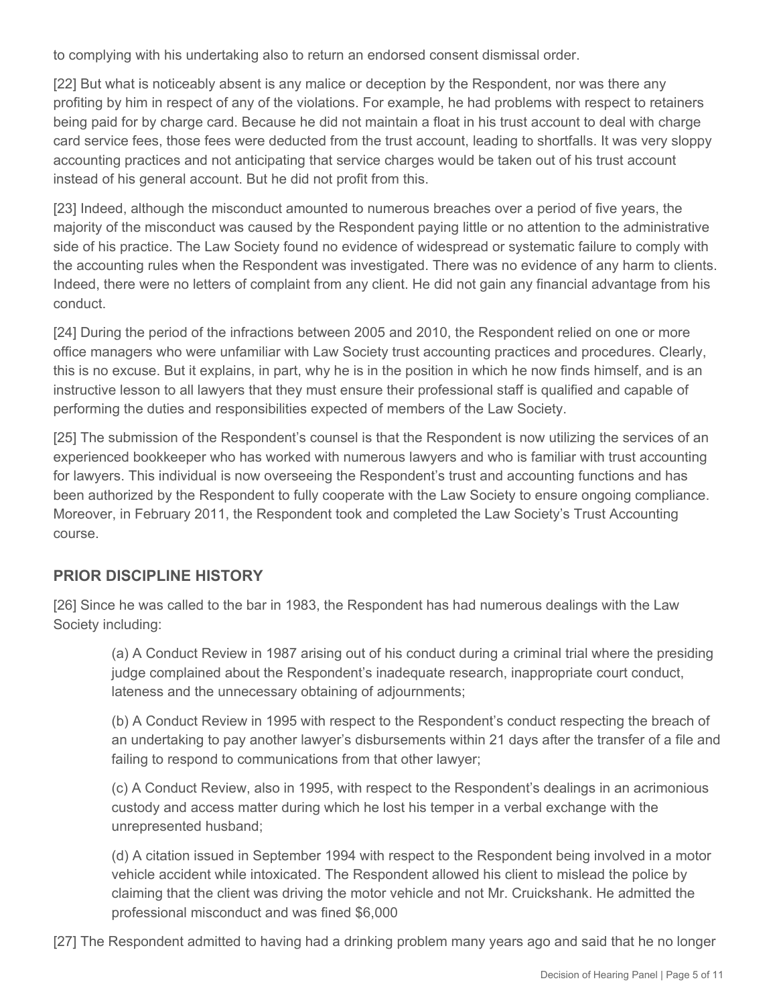to complying with his undertaking also to return an endorsed consent dismissal order.

[22] But what is noticeably absent is any malice or deception by the Respondent, nor was there any profiting by him in respect of any of the violations. For example, he had problems with respect to retainers being paid for by charge card. Because he did not maintain a float in his trust account to deal with charge card service fees, those fees were deducted from the trust account, leading to shortfalls. It was very sloppy accounting practices and not anticipating that service charges would be taken out of his trust account instead of his general account. But he did not profit from this.

[23] Indeed, although the misconduct amounted to numerous breaches over a period of five years, the majority of the misconduct was caused by the Respondent paying little or no attention to the administrative side of his practice. The Law Society found no evidence of widespread or systematic failure to comply with the accounting rules when the Respondent was investigated. There was no evidence of any harm to clients. Indeed, there were no letters of complaint from any client. He did not gain any financial advantage from his conduct.

[24] During the period of the infractions between 2005 and 2010, the Respondent relied on one or more office managers who were unfamiliar with Law Society trust accounting practices and procedures. Clearly, this is no excuse. But it explains, in part, why he is in the position in which he now finds himself, and is an instructive lesson to all lawyers that they must ensure their professional staff is qualified and capable of performing the duties and responsibilities expected of members of the Law Society.

[25] The submission of the Respondent's counsel is that the Respondent is now utilizing the services of an experienced bookkeeper who has worked with numerous lawyers and who is familiar with trust accounting for lawyers. This individual is now overseeing the Respondent's trust and accounting functions and has been authorized by the Respondent to fully cooperate with the Law Society to ensure ongoing compliance. Moreover, in February 2011, the Respondent took and completed the Law Society's Trust Accounting course.

#### **PRIOR DISCIPLINE HISTORY**

[26] Since he was called to the bar in 1983, the Respondent has had numerous dealings with the Law Society including:

(a) A Conduct Review in 1987 arising out of his conduct during a criminal trial where the presiding judge complained about the Respondent's inadequate research, inappropriate court conduct, lateness and the unnecessary obtaining of adjournments;

(b) A Conduct Review in 1995 with respect to the Respondent's conduct respecting the breach of an undertaking to pay another lawyer's disbursements within 21 days after the transfer of a file and failing to respond to communications from that other lawyer;

(c) A Conduct Review, also in 1995, with respect to the Respondent's dealings in an acrimonious custody and access matter during which he lost his temper in a verbal exchange with the unrepresented husband;

(d) A citation issued in September 1994 with respect to the Respondent being involved in a motor vehicle accident while intoxicated. The Respondent allowed his client to mislead the police by claiming that the client was driving the motor vehicle and not Mr. Cruickshank. He admitted the professional misconduct and was fined \$6,000

[27] The Respondent admitted to having had a drinking problem many years ago and said that he no longer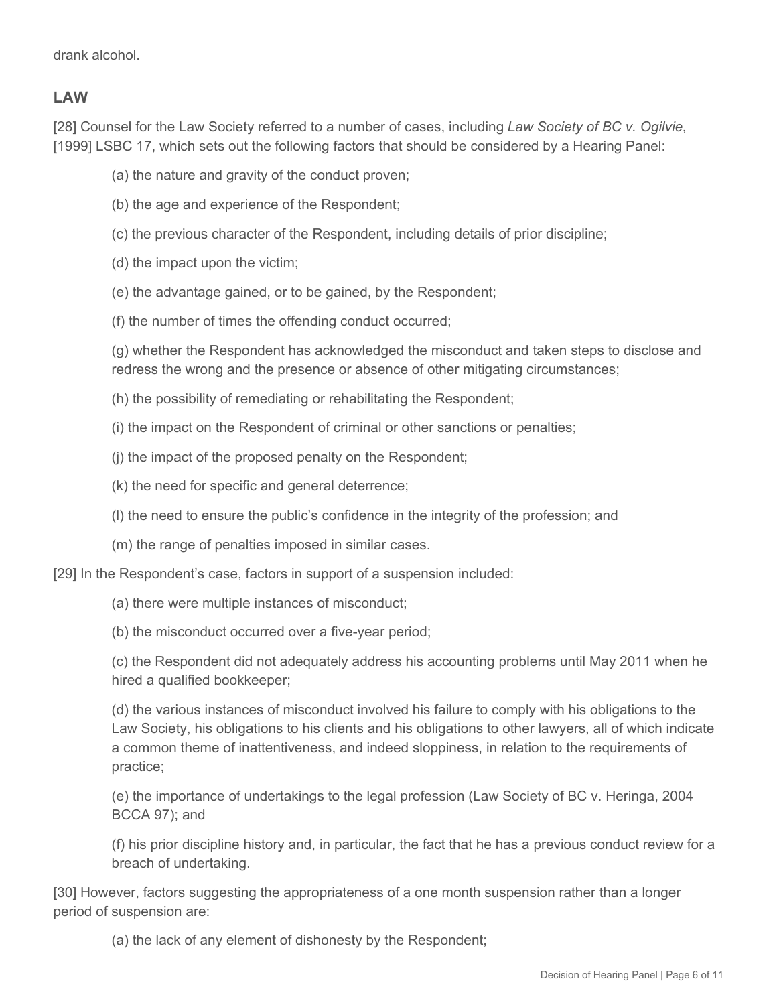#### **LAW**

[28] Counsel for the Law Society referred to a number of cases, including *Law Society of BC v. Ogilvie*, [1999] LSBC 17, which sets out the following factors that should be considered by a Hearing Panel:

- (a) the nature and gravity of the conduct proven;
- (b) the age and experience of the Respondent;
- (c) the previous character of the Respondent, including details of prior discipline;
- (d) the impact upon the victim;
- (e) the advantage gained, or to be gained, by the Respondent;
- (f) the number of times the offending conduct occurred;

(g) whether the Respondent has acknowledged the misconduct and taken steps to disclose and redress the wrong and the presence or absence of other mitigating circumstances;

- (h) the possibility of remediating or rehabilitating the Respondent;
- (i) the impact on the Respondent of criminal or other sanctions or penalties;
- (j) the impact of the proposed penalty on the Respondent;
- (k) the need for specific and general deterrence;
- (l) the need to ensure the public's confidence in the integrity of the profession; and
- (m) the range of penalties imposed in similar cases.

[29] In the Respondent's case, factors in support of a suspension included:

- (a) there were multiple instances of misconduct;
- (b) the misconduct occurred over a five-year period;

(c) the Respondent did not adequately address his accounting problems until May 2011 when he hired a qualified bookkeeper;

(d) the various instances of misconduct involved his failure to comply with his obligations to the Law Society, his obligations to his clients and his obligations to other lawyers, all of which indicate a common theme of inattentiveness, and indeed sloppiness, in relation to the requirements of practice;

(e) the importance of undertakings to the legal profession (Law Society of BC v. Heringa, 2004 BCCA 97); and

(f) his prior discipline history and, in particular, the fact that he has a previous conduct review for a breach of undertaking.

[30] However, factors suggesting the appropriateness of a one month suspension rather than a longer period of suspension are:

(a) the lack of any element of dishonesty by the Respondent;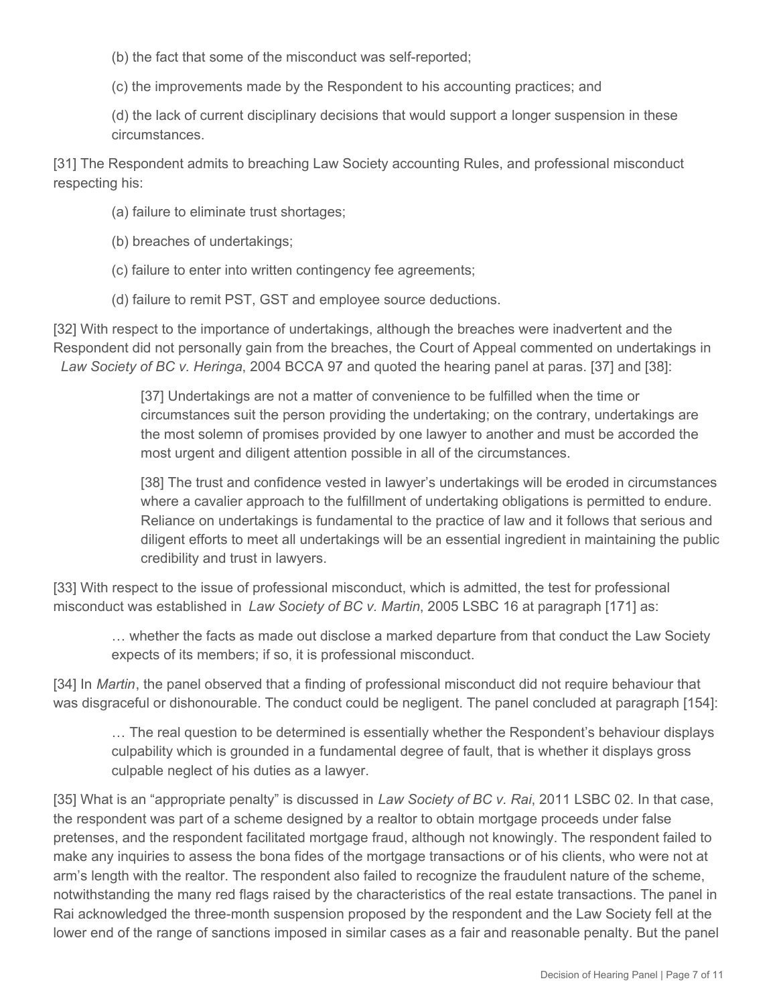(b) the fact that some of the misconduct was self-reported;

(c) the improvements made by the Respondent to his accounting practices; and

(d) the lack of current disciplinary decisions that would support a longer suspension in these circumstances.

[31] The Respondent admits to breaching Law Society accounting Rules, and professional misconduct respecting his:

- (a) failure to eliminate trust shortages;
- (b) breaches of undertakings;
- (c) failure to enter into written contingency fee agreements;
- (d) failure to remit PST, GST and employee source deductions.

[32] With respect to the importance of undertakings, although the breaches were inadvertent and the Respondent did not personally gain from the breaches, the Court of Appeal commented on undertakings in *Law Society of BC v. Heringa*, 2004 BCCA 97 and quoted the hearing panel at paras. [37] and [38]:

> [37] Undertakings are not a matter of convenience to be fulfilled when the time or circumstances suit the person providing the undertaking; on the contrary, undertakings are the most solemn of promises provided by one lawyer to another and must be accorded the most urgent and diligent attention possible in all of the circumstances.

[38] The trust and confidence vested in lawyer's undertakings will be eroded in circumstances where a cavalier approach to the fulfillment of undertaking obligations is permitted to endure. Reliance on undertakings is fundamental to the practice of law and it follows that serious and diligent efforts to meet all undertakings will be an essential ingredient in maintaining the public credibility and trust in lawyers.

[33] With respect to the issue of professional misconduct, which is admitted, the test for professional misconduct was established in *Law Society of BC v. Martin*, 2005 LSBC 16 at paragraph [171] as:

… whether the facts as made out disclose a marked departure from that conduct the Law Society expects of its members; if so, it is professional misconduct.

[34] In *Martin*, the panel observed that a finding of professional misconduct did not require behaviour that was disgraceful or dishonourable. The conduct could be negligent. The panel concluded at paragraph [154]:

… The real question to be determined is essentially whether the Respondent's behaviour displays culpability which is grounded in a fundamental degree of fault, that is whether it displays gross culpable neglect of his duties as a lawyer.

[35] What is an "appropriate penalty" is discussed in *Law Society of BC v. Rai*, 2011 LSBC 02. In that case, the respondent was part of a scheme designed by a realtor to obtain mortgage proceeds under false pretenses, and the respondent facilitated mortgage fraud, although not knowingly. The respondent failed to make any inquiries to assess the bona fides of the mortgage transactions or of his clients, who were not at arm's length with the realtor. The respondent also failed to recognize the fraudulent nature of the scheme, notwithstanding the many red flags raised by the characteristics of the real estate transactions. The panel in Rai acknowledged the three-month suspension proposed by the respondent and the Law Society fell at the lower end of the range of sanctions imposed in similar cases as a fair and reasonable penalty. But the panel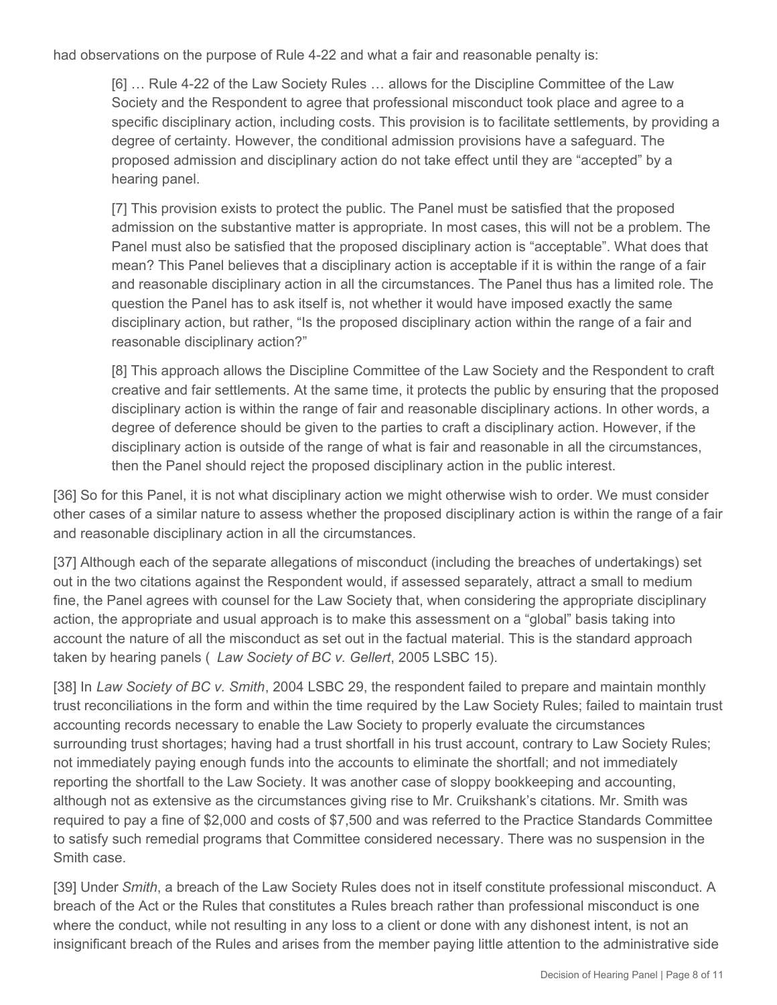had observations on the purpose of Rule 4-22 and what a fair and reasonable penalty is:

[6] … Rule 4-22 of the Law Society Rules … allows for the Discipline Committee of the Law Society and the Respondent to agree that professional misconduct took place and agree to a specific disciplinary action, including costs. This provision is to facilitate settlements, by providing a degree of certainty. However, the conditional admission provisions have a safeguard. The proposed admission and disciplinary action do not take effect until they are "accepted" by a hearing panel.

[7] This provision exists to protect the public. The Panel must be satisfied that the proposed admission on the substantive matter is appropriate. In most cases, this will not be a problem. The Panel must also be satisfied that the proposed disciplinary action is "acceptable". What does that mean? This Panel believes that a disciplinary action is acceptable if it is within the range of a fair and reasonable disciplinary action in all the circumstances. The Panel thus has a limited role. The question the Panel has to ask itself is, not whether it would have imposed exactly the same disciplinary action, but rather, "Is the proposed disciplinary action within the range of a fair and reasonable disciplinary action?"

[8] This approach allows the Discipline Committee of the Law Society and the Respondent to craft creative and fair settlements. At the same time, it protects the public by ensuring that the proposed disciplinary action is within the range of fair and reasonable disciplinary actions. In other words, a degree of deference should be given to the parties to craft a disciplinary action. However, if the disciplinary action is outside of the range of what is fair and reasonable in all the circumstances, then the Panel should reject the proposed disciplinary action in the public interest.

[36] So for this Panel, it is not what disciplinary action we might otherwise wish to order. We must consider other cases of a similar nature to assess whether the proposed disciplinary action is within the range of a fair and reasonable disciplinary action in all the circumstances.

[37] Although each of the separate allegations of misconduct (including the breaches of undertakings) set out in the two citations against the Respondent would, if assessed separately, attract a small to medium fine, the Panel agrees with counsel for the Law Society that, when considering the appropriate disciplinary action, the appropriate and usual approach is to make this assessment on a "global" basis taking into account the nature of all the misconduct as set out in the factual material. This is the standard approach taken by hearing panels ( *Law Society of BC v. Gellert*, 2005 LSBC 15).

[38] In *Law Society of BC v. Smith*, 2004 LSBC 29, the respondent failed to prepare and maintain monthly trust reconciliations in the form and within the time required by the Law Society Rules; failed to maintain trust accounting records necessary to enable the Law Society to properly evaluate the circumstances surrounding trust shortages; having had a trust shortfall in his trust account, contrary to Law Society Rules; not immediately paying enough funds into the accounts to eliminate the shortfall; and not immediately reporting the shortfall to the Law Society. It was another case of sloppy bookkeeping and accounting, although not as extensive as the circumstances giving rise to Mr. Cruikshank's citations. Mr. Smith was required to pay a fine of \$2,000 and costs of \$7,500 and was referred to the Practice Standards Committee to satisfy such remedial programs that Committee considered necessary. There was no suspension in the Smith case.

[39] Under *Smith*, a breach of the Law Society Rules does not in itself constitute professional misconduct. A breach of the Act or the Rules that constitutes a Rules breach rather than professional misconduct is one where the conduct, while not resulting in any loss to a client or done with any dishonest intent, is not an insignificant breach of the Rules and arises from the member paying little attention to the administrative side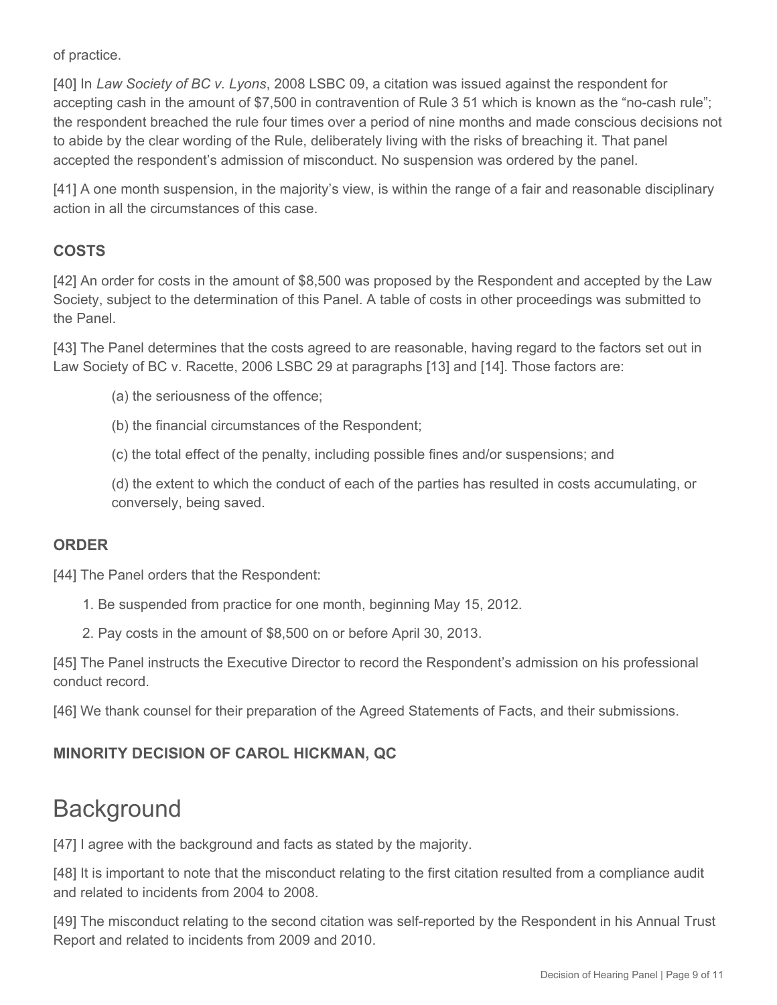of practice.

[40] In *Law Society of BC v. Lyons*, 2008 LSBC 09, a citation was issued against the respondent for accepting cash in the amount of \$7,500 in contravention of Rule 3 51 which is known as the "no-cash rule"; the respondent breached the rule four times over a period of nine months and made conscious decisions not to abide by the clear wording of the Rule, deliberately living with the risks of breaching it. That panel accepted the respondent's admission of misconduct. No suspension was ordered by the panel.

[41] A one month suspension, in the majority's view, is within the range of a fair and reasonable disciplinary action in all the circumstances of this case.

# **COSTS**

[42] An order for costs in the amount of \$8,500 was proposed by the Respondent and accepted by the Law Society, subject to the determination of this Panel. A table of costs in other proceedings was submitted to the Panel.

[43] The Panel determines that the costs agreed to are reasonable, having regard to the factors set out in Law Society of BC v. Racette, 2006 LSBC 29 at paragraphs [13] and [14]. Those factors are:

- (a) the seriousness of the offence;
- (b) the financial circumstances of the Respondent;
- (c) the total effect of the penalty, including possible fines and/or suspensions; and

(d) the extent to which the conduct of each of the parties has resulted in costs accumulating, or conversely, being saved.

#### **ORDER**

[44] The Panel orders that the Respondent:

- 1. Be suspended from practice for one month, beginning May 15, 2012.
- 2. Pay costs in the amount of \$8,500 on or before April 30, 2013.

[45] The Panel instructs the Executive Director to record the Respondent's admission on his professional conduct record.

[46] We thank counsel for their preparation of the Agreed Statements of Facts, and their submissions.

# **MINORITY DECISION OF CAROL HICKMAN, QC**

# **Background**

[47] I agree with the background and facts as stated by the majority.

[48] It is important to note that the misconduct relating to the first citation resulted from a compliance audit and related to incidents from 2004 to 2008.

[49] The misconduct relating to the second citation was self-reported by the Respondent in his Annual Trust Report and related to incidents from 2009 and 2010.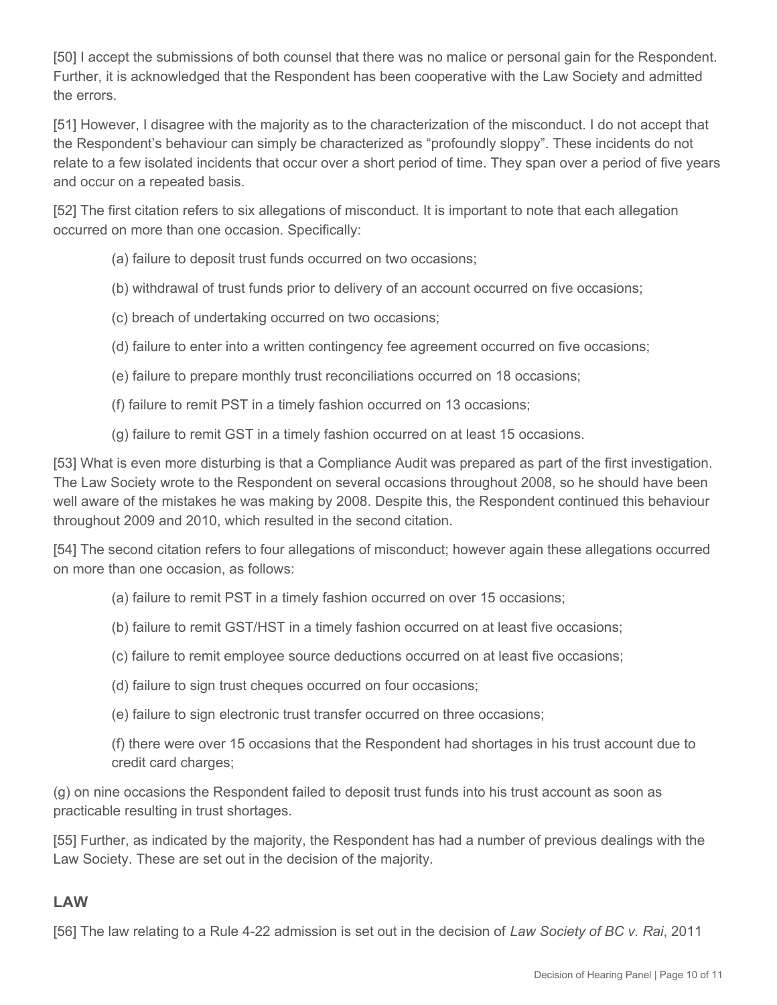[50] I accept the submissions of both counsel that there was no malice or personal gain for the Respondent. Further, it is acknowledged that the Respondent has been cooperative with the Law Society and admitted the errors.

[51] However, I disagree with the majority as to the characterization of the misconduct. I do not accept that the Respondent's behaviour can simply be characterized as "profoundly sloppy". These incidents do not relate to a few isolated incidents that occur over a short period of time. They span over a period of five years and occur on a repeated basis.

[52] The first citation refers to six allegations of misconduct. It is important to note that each allegation occurred on more than one occasion. Specifically:

- (a) failure to deposit trust funds occurred on two occasions;
- (b) withdrawal of trust funds prior to delivery of an account occurred on five occasions;
- (c) breach of undertaking occurred on two occasions;
- (d) failure to enter into a written contingency fee agreement occurred on five occasions;
- (e) failure to prepare monthly trust reconciliations occurred on 18 occasions;
- (f) failure to remit PST in a timely fashion occurred on 13 occasions;
- (g) failure to remit GST in a timely fashion occurred on at least 15 occasions.

[53] What is even more disturbing is that a Compliance Audit was prepared as part of the first investigation. The Law Society wrote to the Respondent on several occasions throughout 2008, so he should have been well aware of the mistakes he was making by 2008. Despite this, the Respondent continued this behaviour throughout 2009 and 2010, which resulted in the second citation.

[54] The second citation refers to four allegations of misconduct; however again these allegations occurred on more than one occasion, as follows:

- (a) failure to remit PST in a timely fashion occurred on over 15 occasions;
- (b) failure to remit GST/HST in a timely fashion occurred on at least five occasions;
- (c) failure to remit employee source deductions occurred on at least five occasions;
- (d) failure to sign trust cheques occurred on four occasions;
- (e) failure to sign electronic trust transfer occurred on three occasions;

(f) there were over 15 occasions that the Respondent had shortages in his trust account due to credit card charges;

(g) on nine occasions the Respondent failed to deposit trust funds into his trust account as soon as practicable resulting in trust shortages.

[55] Further, as indicated by the majority, the Respondent has had a number of previous dealings with the Law Society. These are set out in the decision of the majority.

#### **LAW**

[56] The law relating to a Rule 4-22 admission is set out in the decision of *Law Society of BC v. Rai*, 2011